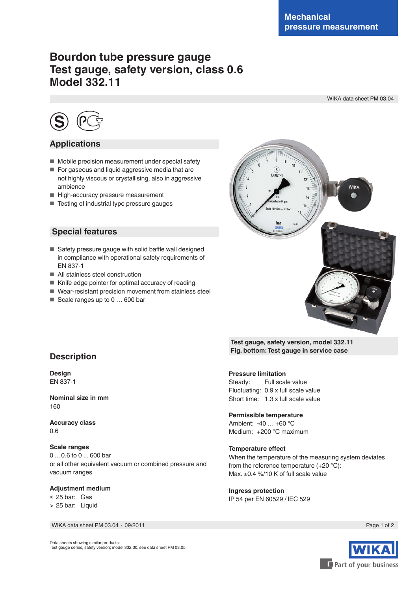# **Bourdon tube pressure gauge Test gauge, safety version, class 0.6 Model 332.11**

WIKA data sheet PM 03.04



### **Applications**

- Mobile precision measurement under special safety
- For gaseous and liquid aggressive media that are not highly viscous or crystallising, also in aggressive ambience
- High-accuracy pressure measurement
- Testing of industrial type pressure gauges

#### **Special features**

- Safety pressure gauge with solid baffle wall designed in compliance with operational safety requirements of EN 837-1
- All stainless steel construction
- Knife edge pointer for optimal accuracy of reading
- Wear-resistant precision movement from stainless steel
- Scale ranges up to 0 ... 600 bar



**Test gauge, safety version, model 332.11 Fig. bottom: Test gauge in service case**

## **Pressure limitation**

Steady: Full scale value Fluctuating: 0.9 x full scale value Short time: 1.3 x full scale value

**Permissible temperature**

Ambient: -40 … +60 °C Medium: +200 °C maximum

#### **Temperature effect**

When the temperature of the measuring system deviates from the reference temperature (+20 °C): Max. ±0.4 %/10 K of full scale value

**Ingress protection** IP 54 per EN 60529 / lEC 529



### **Description**

**Design** EN 837-1

**Nominal size in mm** 160

**Accuracy class** 0.6

**Scale ranges** 0 ... 0.6 to 0 ... 600 bar or all other equivalent vacuum or combined pressure and vacuum ranges

#### **Adjustment medium**

≤ 25 bar: Gas > 25 bar: Liquid

WIKA data sheet PM 03.04 ⋅ 09/2011 Page 1 of 2

Data sheets showing similar products: Test gauge series, safety version; model 332.30; see data sheet PM 03.05